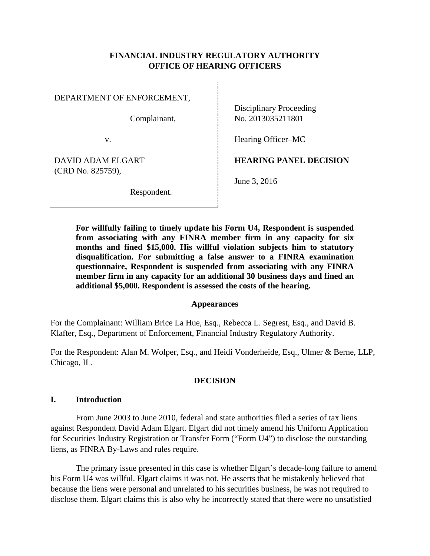## **FINANCIAL INDUSTRY REGULATORY AUTHORITY OFFICE OF HEARING OFFICERS**

| DEPARTMENT OF ENFORCEMENT,<br>Complainant, | <b>Disciplinary Proceeding</b><br>No. 2013035211801 |
|--------------------------------------------|-----------------------------------------------------|
| v.                                         | Hearing Officer–MC                                  |
| DAVID ADAM ELGART<br>(CRD No. 825759),     | <b>HEARING PANEL DECISION</b>                       |
| Respondent.                                | June 3, 2016                                        |

**For willfully failing to timely update his Form U4, Respondent is suspended from associating with any FINRA member firm in any capacity for six months and fined \$15,000. His willful violation subjects him to statutory disqualification. For submitting a false answer to a FINRA examination questionnaire, Respondent is suspended from associating with any FINRA member firm in any capacity for an additional 30 business days and fined an additional \$5,000. Respondent is assessed the costs of the hearing.** 

#### **Appearances**

For the Complainant: William Brice La Hue, Esq., Rebecca L. Segrest, Esq., and David B. Klafter, Esq., Department of Enforcement, Financial Industry Regulatory Authority.

For the Respondent: Alan M. Wolper, Esq., and Heidi Vonderheide, Esq., Ulmer & Berne, LLP, Chicago, IL.

#### **DECISION**

#### **I. Introduction**

From June 2003 to June 2010, federal and state authorities filed a series of tax liens against Respondent David Adam Elgart. Elgart did not timely amend his Uniform Application for Securities Industry Registration or Transfer Form ("Form U4") to disclose the outstanding liens, as FINRA By-Laws and rules require.

The primary issue presented in this case is whether Elgart's decade-long failure to amend his Form U4 was willful. Elgart claims it was not. He asserts that he mistakenly believed that because the liens were personal and unrelated to his securities business, he was not required to disclose them. Elgart claims this is also why he incorrectly stated that there were no unsatisfied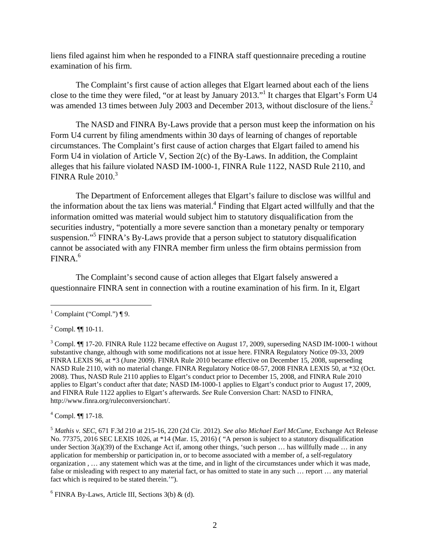liens filed against him when he responded to a FINRA staff questionnaire preceding a routine examination of his firm.

The Complaint's first cause of action alleges that Elgart learned about each of the liens close to the time they were filed, "or at least by January 2013."<sup>1</sup> It charges that Elgart's Form U4 was amended 13 times between July 2003 and December 2013, without disclosure of the liens.<sup>2</sup>

The NASD and FINRA By-Laws provide that a person must keep the information on his Form U4 current by filing amendments within 30 days of learning of changes of reportable circumstances. The Complaint's first cause of action charges that Elgart failed to amend his Form U4 in violation of Article V, Section 2(c) of the By-Laws. In addition, the Complaint alleges that his failure violated NASD IM-1000-1, FINRA Rule 1122, NASD Rule 2110, and FINRA Rule  $2010$ .<sup>3</sup>

The Department of Enforcement alleges that Elgart's failure to disclose was willful and the information about the tax liens was material.<sup>4</sup> Finding that Elgart acted willfully and that the information omitted was material would subject him to statutory disqualification from the securities industry, "potentially a more severe sanction than a monetary penalty or temporary suspension."<sup>5</sup> FINRA's By-Laws provide that a person subject to statutory disqualification cannot be associated with any FINRA member firm unless the firm obtains permission from  $FINRA.<sup>6</sup>$ 

The Complaint's second cause of action alleges that Elgart falsely answered a questionnaire FINRA sent in connection with a routine examination of his firm. In it, Elgart

 $\overline{a}$ 

4 Compl. ¶¶ 17-18.

<sup>&</sup>lt;sup>1</sup> Complaint ("Compl.") ¶ 9.

 $2^2$  Compl.  $\P\P$  10-11.

 $3$  Compl.  $\P$  17-20. FINRA Rule 1122 became effective on August 17, 2009, superseding NASD IM-1000-1 without substantive change, although with some modifications not at issue here. FINRA Regulatory Notice 09-33, 2009 FINRA LEXIS 96, at \*3 (June 2009). FINRA Rule 2010 became effective on December 15, 2008, superseding NASD Rule 2110, with no material change. FINRA Regulatory Notice 08-57, 2008 FINRA LEXIS 50, at \*32 (Oct. 2008). Thus, NASD Rule 2110 applies to Elgart's conduct prior to December 15, 2008, and FINRA Rule 2010 applies to Elgart's conduct after that date; NASD IM-1000-1 applies to Elgart's conduct prior to August 17, 2009, and FINRA Rule 1122 applies to Elgart's afterwards. *See* Rule Conversion Chart: NASD to FINRA, http://www.finra.org/ruleconversionchart/.

<sup>5</sup> *Mathis v. SEC*, 671 F.3d 210 at 215-16, 220 (2d Cir. 2012). *See also Michael Earl McCune*, Exchange Act Release No. 77375, 2016 SEC LEXIS 1026, at \*14 (Mar. 15, 2016) ( "A person is subject to a statutory disqualification under Section  $3(a)(39)$  of the Exchange Act if, among other things, 'such person ... has willfully made ... in any application for membership or participation in, or to become associated with a member of, a self-regulatory organization , … any statement which was at the time, and in light of the circumstances under which it was made, false or misleading with respect to any material fact, or has omitted to state in any such … report … any material fact which is required to be stated therein.'").

 $6$  FINRA By-Laws, Article III, Sections 3(b) & (d).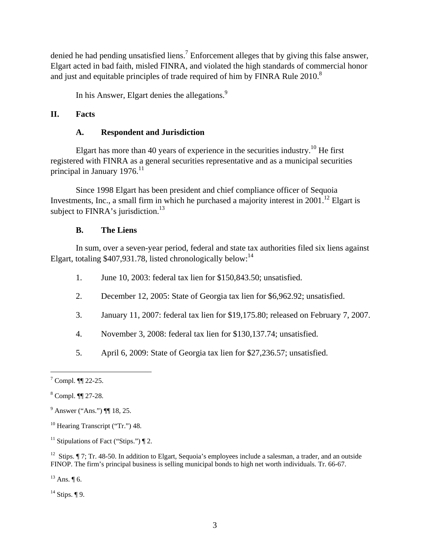denied he had pending unsatisfied liens.<sup>7</sup> Enforcement alleges that by giving this false answer, Elgart acted in bad faith, misled FINRA, and violated the high standards of commercial honor and just and equitable principles of trade required of him by FINRA Rule  $2010$ .<sup>8</sup>

In his Answer, Elgart denies the allegations.<sup>9</sup>

## **II. Facts**

### **A. Respondent and Jurisdiction**

Elgart has more than 40 years of experience in the securities industry.<sup>10</sup> He first registered with FINRA as a general securities representative and as a municipal securities principal in January 1976.<sup>11</sup>

Since 1998 Elgart has been president and chief compliance officer of Sequoia Investments, Inc., a small firm in which he purchased a majority interest in  $2001$ .<sup>12</sup> Elgart is subject to  $FINRA$ 's jurisdiction.<sup>13</sup>

### **B. The Liens**

In sum, over a seven-year period, federal and state tax authorities filed six liens against Elgart, totaling  $$407,931.78$ , listed chronologically below:<sup>14</sup>

- 1. June 10, 2003: federal tax lien for \$150,843.50; unsatisfied.
- 2. December 12, 2005: State of Georgia tax lien for \$6,962.92; unsatisfied.
- 3. January 11, 2007: federal tax lien for \$19,175.80; released on February 7, 2007.
- 4. November 3, 2008: federal tax lien for \$130,137.74; unsatisfied.
- 5. April 6, 2009: State of Georgia tax lien for \$27,236.57; unsatisfied.

 $\overline{a}$ 

 $13$  Ans.  $\P$  6.

 $14$  Stips. ¶ 9.

 $7$  Compl.  $\P$  22-25.

<sup>8</sup> Compl. ¶¶ 27-28.

 $^{9}$  Answer ("Ans.") ¶ 18, 25.

<sup>&</sup>lt;sup>10</sup> Hearing Transcript ("Tr.") 48.

<sup>&</sup>lt;sup>11</sup> Stipulations of Fact ("Stips.")  $\P$  2.

<sup>&</sup>lt;sup>12</sup> Stips.  $\P$  7; Tr. 48-50. In addition to Elgart, Sequoia's employees include a salesman, a trader, and an outside FINOP. The firm's principal business is selling municipal bonds to high net worth individuals. Tr. 66-67.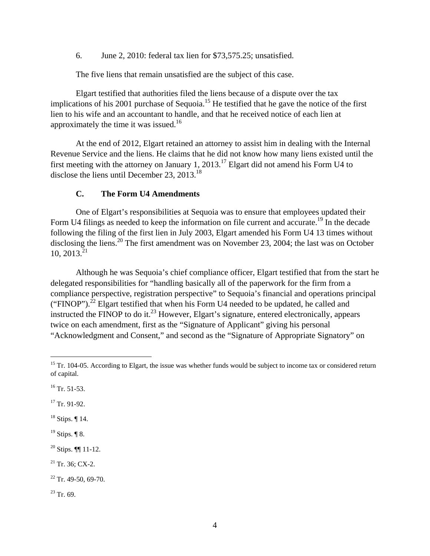6. June 2, 2010: federal tax lien for \$73,575.25; unsatisfied.

The five liens that remain unsatisfied are the subject of this case.

Elgart testified that authorities filed the liens because of a dispute over the tax implications of his 2001 purchase of Sequoia.<sup>15</sup> He testified that he gave the notice of the first lien to his wife and an accountant to handle, and that he received notice of each lien at approximately the time it was issued.<sup>16</sup>

At the end of 2012, Elgart retained an attorney to assist him in dealing with the Internal Revenue Service and the liens. He claims that he did not know how many liens existed until the first meeting with the attorney on January 1, 2013.17 Elgart did not amend his Form U4 to disclose the liens until December 23,  $2013.<sup>18</sup>$ 

#### **C. The Form U4 Amendments**

One of Elgart's responsibilities at Sequoia was to ensure that employees updated their Form U4 filings as needed to keep the information on file current and accurate.<sup>19</sup> In the decade following the filing of the first lien in July 2003, Elgart amended his Form U4 13 times without disclosing the liens.<sup>20</sup> The first amendment was on November 23, 2004; the last was on October  $10, 2013.<sup>21</sup>$ 

Although he was Sequoia's chief compliance officer, Elgart testified that from the start he delegated responsibilities for "handling basically all of the paperwork for the firm from a compliance perspective, registration perspective" to Sequoia's financial and operations principal ("FINOP").<sup>22</sup> Elgart testified that when his Form U4 needed to be updated, he called and instructed the FINOP to do it.<sup>23</sup> However, Elgart's signature, entered electronically, appears twice on each amendment, first as the "Signature of Applicant" giving his personal "Acknowledgment and Consent," and second as the "Signature of Appropriate Signatory" on

 $\overline{a}$ 

<sup>17</sup> Tr. 91-92.

 $18$  Stips.  $\P$  14.

 $19$  Stips. ¶ 8.

 $20$  Stips.  $\P\P$  11-12.

 $21$  Tr. 36; CX-2.

 $23$  Tr. 69.

 $15$  Tr. 104-05. According to Elgart, the issue was whether funds would be subject to income tax or considered return of capital.

 $^{16}$  Tr. 51-53.

 $22$  Tr. 49-50, 69-70.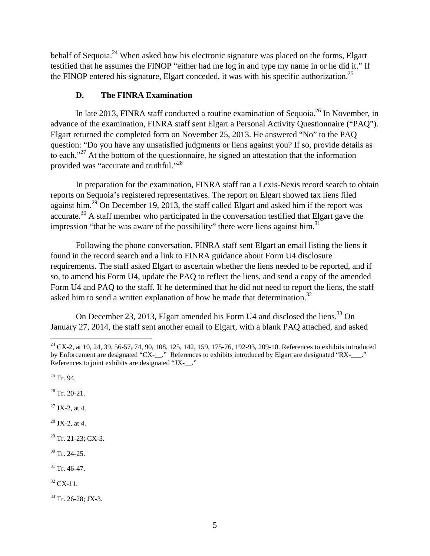behalf of Sequoia.<sup>24</sup> When asked how his electronic signature was placed on the forms, Elgart testified that he assumes the FINOP "either had me log in and type my name in or he did it." If the FINOP entered his signature, Elgart conceded, it was with his specific authorization.<sup>25</sup>

## **D. The FINRA Examination**

In late 2013, FINRA staff conducted a routine examination of Sequoia.<sup>26</sup> In November, in advance of the examination, FINRA staff sent Elgart a Personal Activity Questionnaire ("PAQ"). Elgart returned the completed form on November 25, 2013. He answered "No" to the PAQ question: "Do you have any unsatisfied judgments or liens against you? If so, provide details as to each."<sup>27</sup> At the bottom of the questionnaire, he signed an attestation that the information provided was "accurate and truthful."28

In preparation for the examination, FINRA staff ran a Lexis-Nexis record search to obtain reports on Sequoia's registered representatives. The report on Elgart showed tax liens filed against him.<sup>29</sup> On December 19, 2013, the staff called Elgart and asked him if the report was accurate.<sup>30</sup> A staff member who participated in the conversation testified that Elgart gave the impression "that he was aware of the possibility" there were liens against him.<sup>31</sup>

Following the phone conversation, FINRA staff sent Elgart an email listing the liens it found in the record search and a link to FINRA guidance about Form U4 disclosure requirements. The staff asked Elgart to ascertain whether the liens needed to be reported, and if so, to amend his Form U4, update the PAQ to reflect the liens, and send a copy of the amended Form U4 and PAQ to the staff. If he determined that he did not need to report the liens, the staff asked him to send a written explanation of how he made that determination.<sup>32</sup>

On December 23, 2013, Elgart amended his Form U4 and disclosed the liens.<sup>33</sup> On January 27, 2014, the staff sent another email to Elgart, with a blank PAQ attached, and asked

 $\overline{a}$ 

 $26$  Tr. 20-21.

 $27$  JX-2, at 4.

 $28$  JX-2, at 4.

 $29$  Tr. 21-23; CX-3.

- $30$  Tr. 24-25.
- $31$  Tr. 46-47.
- $32$  CX-11.

33 Tr. 26-28; JX-3.

<sup>&</sup>lt;sup>24</sup> CX-2, at 10, 24, 39, 56-57, 74, 90, 108, 125, 142, 159, 175-76, 192-93, 209-10. References to exhibits introduced by Enforcement are designated "CX-\_\_." References to exhibits introduced by Elgart are designated "RX-\_\_\_." References to joint exhibits are designated "JX-\_\_."

 $25$  Tr. 94.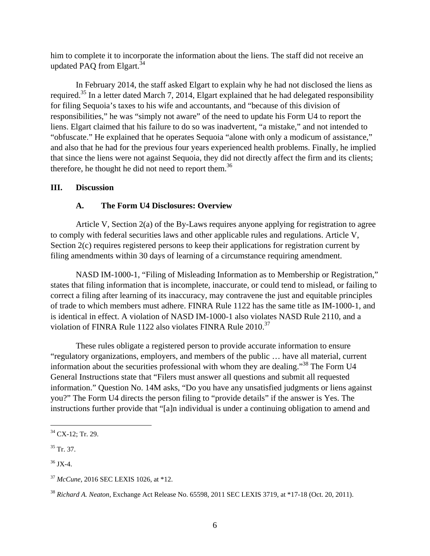him to complete it to incorporate the information about the liens. The staff did not receive an updated PAQ from Elgart.<sup>34</sup>

In February 2014, the staff asked Elgart to explain why he had not disclosed the liens as required.35 In a letter dated March 7, 2014, Elgart explained that he had delegated responsibility for filing Sequoia's taxes to his wife and accountants, and "because of this division of responsibilities," he was "simply not aware" of the need to update his Form U4 to report the liens. Elgart claimed that his failure to do so was inadvertent, "a mistake," and not intended to "obfuscate." He explained that he operates Sequoia "alone with only a modicum of assistance," and also that he had for the previous four years experienced health problems. Finally, he implied that since the liens were not against Sequoia, they did not directly affect the firm and its clients; therefore, he thought he did not need to report them.<sup>36</sup>

#### **III. Discussion**

#### **A. The Form U4 Disclosures: Overview**

Article V, Section 2(a) of the By-Laws requires anyone applying for registration to agree to comply with federal securities laws and other applicable rules and regulations. Article V, Section 2(c) requires registered persons to keep their applications for registration current by filing amendments within 30 days of learning of a circumstance requiring amendment.

NASD IM-1000-1, "Filing of Misleading Information as to Membership or Registration," states that filing information that is incomplete, inaccurate, or could tend to mislead, or failing to correct a filing after learning of its inaccuracy, may contravene the just and equitable principles of trade to which members must adhere. FINRA Rule 1122 has the same title as IM-1000-1, and is identical in effect. A violation of NASD IM-1000-1 also violates NASD Rule 2110, and a violation of FINRA Rule 1122 also violates FINRA Rule 2010.<sup>37</sup>

These rules obligate a registered person to provide accurate information to ensure "regulatory organizations, employers, and members of the public … have all material, current information about the securities professional with whom they are dealing."38 The Form U4 General Instructions state that "Filers must answer all questions and submit all requested information." Question No. 14M asks, "Do you have any unsatisfied judgments or liens against you?" The Form U4 directs the person filing to "provide details" if the answer is Yes. The instructions further provide that "[a]n individual is under a continuing obligation to amend and

<sup>&</sup>lt;sup>34</sup> CX-12; Tr. 29.

 $35$  Tr. 37.

 $36$  JX-4.

<sup>37</sup> *McCune*, 2016 SEC LEXIS 1026, at \*12.

<sup>38</sup> *Richard A. Neaton*, Exchange Act Release No. 65598, 2011 SEC LEXIS 3719, at \*17-18 (Oct. 20, 2011).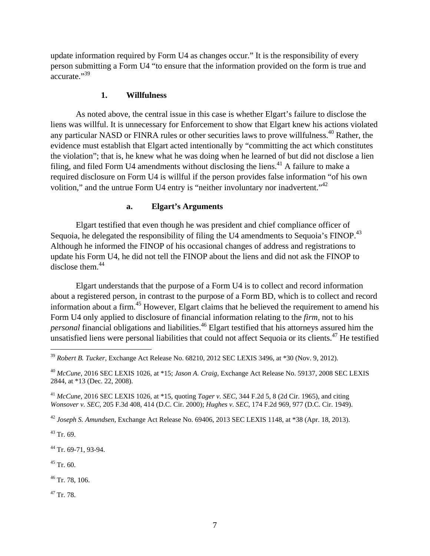update information required by Form U4 as changes occur." It is the responsibility of every person submitting a Form U4 "to ensure that the information provided on the form is true and accurate."<sup>39</sup>

#### **1. Willfulness**

As noted above, the central issue in this case is whether Elgart's failure to disclose the liens was willful. It is unnecessary for Enforcement to show that Elgart knew his actions violated any particular NASD or FINRA rules or other securities laws to prove willfulness.<sup>40</sup> Rather, the evidence must establish that Elgart acted intentionally by "committing the act which constitutes the violation"; that is, he knew what he was doing when he learned of but did not disclose a lien filing, and filed Form U4 amendments without disclosing the liens.<sup>41</sup> A failure to make a required disclosure on Form U4 is willful if the person provides false information "of his own volition," and the untrue Form U4 entry is "neither involuntary nor inadvertent."<sup>42</sup>

#### **a. Elgart's Arguments**

Elgart testified that even though he was president and chief compliance officer of Sequoia, he delegated the responsibility of filing the U4 amendments to Sequoia's FINOP.<sup>43</sup> Although he informed the FINOP of his occasional changes of address and registrations to update his Form U4, he did not tell the FINOP about the liens and did not ask the FINOP to disclose them.<sup>44</sup>

Elgart understands that the purpose of a Form U4 is to collect and record information about a registered person, in contrast to the purpose of a Form BD, which is to collect and record information about a firm.45 However, Elgart claims that he believed the requirement to amend his Form U4 only applied to disclosure of financial information relating to the *firm*, not to his *personal* financial obligations and liabilities.<sup>46</sup> Elgart testified that his attorneys assured him the unsatisfied liens were personal liabilities that could not affect Sequoia or its clients.<sup>47</sup> He testified

 $43$  Tr. 69.

1

<sup>44</sup> Tr. 69-71, 93-94.

 $45$  Tr. 60.

 $46$  Tr. 78, 106.

47 Tr. 78.

<sup>39</sup> *Robert B. Tucker*, Exchange Act Release No. 68210, 2012 SEC LEXIS 3496, at \*30 (Nov. 9, 2012).

<sup>40</sup> *McCune*, 2016 SEC LEXIS 1026, at \*15; *Jason A. Craig*, Exchange Act Release No. 59137, 2008 SEC LEXIS 2844, at \*13 (Dec. 22, 2008).

<sup>41</sup> *McCune*, 2016 SEC LEXIS 1026, at \*15, quoting *Tager v. SEC*, 344 F.2d 5, 8 (2d Cir. 1965), and citing *Wonsover v. SEC*, 205 F.3d 408, 414 (D.C. Cir. 2000); *Hughes v. SEC*, 174 F.2d 969, 977 (D.C. Cir. 1949).

<sup>42</sup> *Joseph S. Amundsen*, Exchange Act Release No. 69406, 2013 SEC LEXIS 1148, at \*38 (Apr. 18, 2013).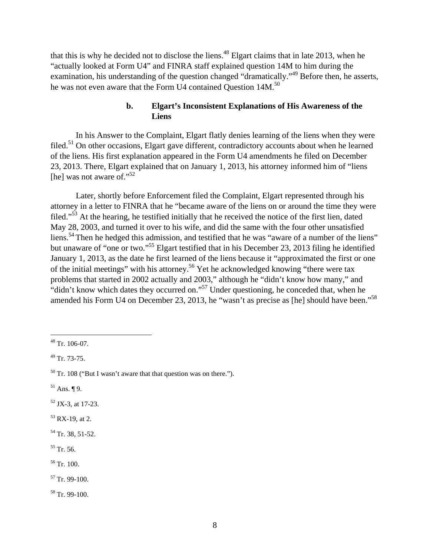that this is why he decided not to disclose the liens.<sup>48</sup> Elgart claims that in late 2013, when he "actually looked at Form U4" and FINRA staff explained question 14M to him during the examination, his understanding of the question changed "dramatically."<sup>49</sup> Before then, he asserts, he was not even aware that the Form U4 contained Question 14M.<sup>50</sup>

## **b. Elgart's Inconsistent Explanations of His Awareness of the Liens**

In his Answer to the Complaint, Elgart flatly denies learning of the liens when they were filed.<sup>51</sup> On other occasions, Elgart gave different, contradictory accounts about when he learned of the liens. His first explanation appeared in the Form U4 amendments he filed on December 23, 2013. There, Elgart explained that on January 1, 2013, his attorney informed him of "liens [he] was not aware of."<sup>52</sup>

Later, shortly before Enforcement filed the Complaint, Elgart represented through his attorney in a letter to FINRA that he "became aware of the liens on or around the time they were filed."53 At the hearing, he testified initially that he received the notice of the first lien, dated May 28, 2003, and turned it over to his wife, and did the same with the four other unsatisfied liens.<sup>54</sup> Then he hedged this admission, and testified that he was "aware of a number of the liens" but unaware of "one or two."55 Elgart testified that in his December 23, 2013 filing he identified January 1, 2013, as the date he first learned of the liens because it "approximated the first or one of the initial meetings" with his attorney.<sup>56</sup> Yet he acknowledged knowing "there were tax problems that started in 2002 actually and 2003," although he "didn't know how many," and "didn't know which dates they occurred on."57 Under questioning, he conceded that, when he amended his Form U4 on December 23, 2013, he "wasn't as precise as [he] should have been."<sup>58</sup>

1

- $51$  Ans.  $\P$  9.
- 52 JX-3, at 17-23.
- $53$  RX-19, at 2.
- $54$  Tr. 38, 51-52.
- 55 Tr. 56.
- 56 Tr. 100.
- 57 Tr. 99-100.

58 Tr. 99-100.

 $48$  Tr. 106-07.

<sup>49</sup> Tr. 73-75.

 $50$  Tr. 108 ("But I wasn't aware that that question was on there.").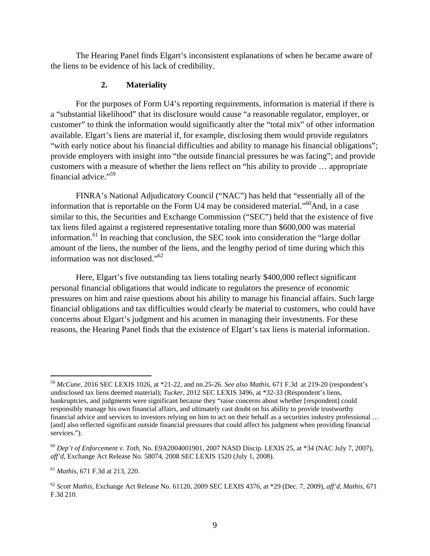The Hearing Panel finds Elgart's inconsistent explanations of when he became aware of the liens to be evidence of his lack of credibility.

#### **2. Materiality**

For the purposes of Form U4's reporting requirements, information is material if there is a "substantial likelihood" that its disclosure would cause "a reasonable regulator, employer, or customer" to think the information would significantly alter the "total mix" of other information available. Elgart's liens are material if, for example, disclosing them would provide regulators "with early notice about his financial difficulties and ability to manage his financial obligations"; provide employers with insight into "the outside financial pressures he was facing"; and provide customers with a measure of whether the liens reflect on "his ability to provide … appropriate financial advice."59

FINRA's National Adjudicatory Council ("NAC") has held that "essentially all of the information that is reportable on the Form U4 may be considered material."<sup>60</sup>And, in a case similar to this, the Securities and Exchange Commission ("SEC") held that the existence of five tax liens filed against a registered representative totaling more than \$600,000 was material information.<sup>61</sup> In reaching that conclusion, the SEC took into consideration the "large dollar" amount of the liens, the number of the liens, and the lengthy period of time during which this information was not disclosed."62

Here, Elgart's five outstanding tax liens totaling nearly \$400,000 reflect significant personal financial obligations that would indicate to regulators the presence of economic pressures on him and raise questions about his ability to manage his financial affairs. Such large financial obligations and tax difficulties would clearly be material to customers, who could have concerns about Elgart's judgment and his acumen in managing their investments. For these reasons, the Hearing Panel finds that the existence of Elgart's tax liens is material information.

<sup>59</sup> *McCune*, 2016 SEC LEXIS 1026, at \*21-22, and nn.25-26. *See also Mathis*, 671 F.3d at 219-20 (respondent's undisclosed tax liens deemed material); *Tucker*, 2012 SEC LEXIS 3496, at \*32-33 (Respondent's liens, bankruptcies, and judgments were significant because they "raise concerns about whether [respondent] could responsibly manage his own financial affairs, and ultimately cast doubt on his ability to provide trustworthy financial advice and services to investors relying on him to act on their behalf as a securities industry professional … [and] also reflected significant outside financial pressures that could affect his judgment when providing financial services.").

<sup>60</sup> *Dep't of Enforcement v. Toth*, No. E9A2004001901, 2007 NASD Discip. LEXIS 25, at \*34 (NAC July 7, 2007), *aff'd*, Exchange Act Release No. 58074, 2008 SEC LEXIS 1520 (July 1, 2008).

<sup>61</sup> *Mathis*, 671 F.3d at 213, 220.

<sup>62</sup> *Scott Mathis*, Exchange Act Release No. 61120, 2009 SEC LEXIS 4376, at \*29 (Dec. 7, 2009), *aff'd*, *Mathis*, 671 F.3d 210.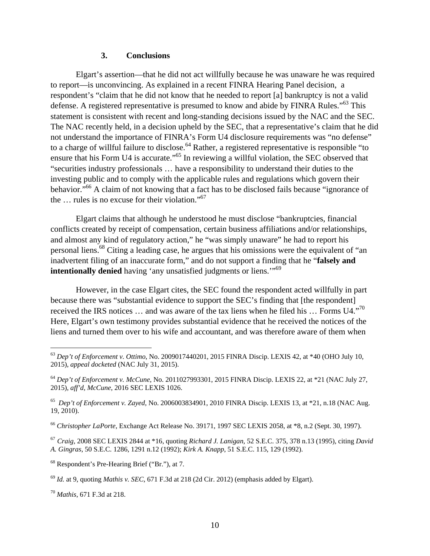#### **3. Conclusions**

Elgart's assertion—that he did not act willfully because he was unaware he was required to report—is unconvincing. As explained in a recent FINRA Hearing Panel decision, a respondent's "claim that he did not know that he needed to report [a] bankruptcy is not a valid defense. A registered representative is presumed to know and abide by FINRA Rules."63 This statement is consistent with recent and long-standing decisions issued by the NAC and the SEC. The NAC recently held, in a decision upheld by the SEC, that a representative's claim that he did not understand the importance of FINRA's Form U4 disclosure requirements was "no defense" to a charge of willful failure to disclose.<sup>64</sup> Rather, a registered representative is responsible "to ensure that his Form U4 is accurate."<sup>65</sup> In reviewing a willful violation, the SEC observed that "securities industry professionals … have a responsibility to understand their duties to the investing public and to comply with the applicable rules and regulations which govern their behavior."<sup>66</sup> A claim of not knowing that a fact has to be disclosed fails because "ignorance of the  $\ldots$  rules is no excuse for their violation."<sup>67</sup>

Elgart claims that although he understood he must disclose "bankruptcies, financial conflicts created by receipt of compensation, certain business affiliations and/or relationships, and almost any kind of regulatory action," he "was simply unaware" he had to report his personal liens.<sup>68</sup> Citing a leading case, he argues that his omissions were the equivalent of "an inadvertent filing of an inaccurate form," and do not support a finding that he "**falsely and intentionally denied** having 'any unsatisfied judgments or liens."<sup>69</sup>

However, in the case Elgart cites, the SEC found the respondent acted willfully in part because there was "substantial evidence to support the SEC's finding that [the respondent] received the IRS notices ... and was aware of the tax liens when he filed his ... Forms U4."<sup>70</sup> Here, Elgart's own testimony provides substantial evidence that he received the notices of the liens and turned them over to his wife and accountant, and was therefore aware of them when

<sup>63</sup> *Dep't of Enforcement v. Ottimo*, No. 2009017440201, 2015 FINRA Discip. LEXIS 42, at \*40 (OHO July 10, 2015), *appeal docketed* (NAC July 31, 2015).

<sup>64</sup> *Dep't of Enforcement v. McCune*, No. 2011027993301, 2015 FINRA Discip. LEXIS 22, at \*21 (NAC July 27, 2015), *aff'd*, *McCune*, 2016 SEC LEXIS 1026.

<sup>65</sup> *Dep't of Enforcement v. Zayed*, No. 2006003834901, 2010 FINRA Discip. LEXIS 13, at \*21, n.18 (NAC Aug. 19, 2010).

<sup>66</sup> *Christopher LaPorte*, Exchange Act Release No. 39171, 1997 SEC LEXIS 2058, at \*8, n.2 (Sept. 30, 1997).

<sup>67</sup> *Craig*, 2008 SEC LEXIS 2844 at \*16, quoting *Richard J. Lanigan*, 52 S.E.C. 375, 378 n.13 (1995), citing *David A. Gingras*, 50 S.E.C. 1286, 1291 n.12 (1992); *Kirk A. Knapp*, 51 S.E.C. 115, 129 (1992).

<sup>68</sup> Respondent's Pre-Hearing Brief ("Br."), at 7.

<sup>69</sup> *Id.* at 9, quoting *Mathis v. SEC*, 671 F.3d at 218 (2d Cir. 2012) (emphasis added by Elgart).

<sup>70</sup> *Mathis*, 671 F.3d at 218.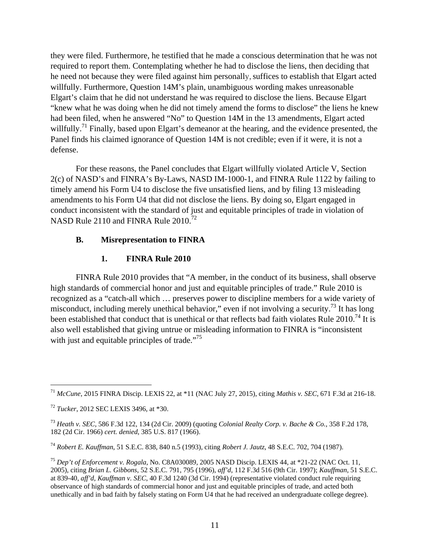they were filed. Furthermore, he testified that he made a conscious determination that he was not required to report them. Contemplating whether he had to disclose the liens, then deciding that he need not because they were filed against him personally, suffices to establish that Elgart acted willfully. Furthermore, Question 14M's plain, unambiguous wording makes unreasonable Elgart's claim that he did not understand he was required to disclose the liens. Because Elgart "knew what he was doing when he did not timely amend the forms to disclose" the liens he knew had been filed, when he answered "No" to Question 14M in the 13 amendments, Elgart acted willfully.<sup>71</sup> Finally, based upon Elgart's demeanor at the hearing, and the evidence presented, the Panel finds his claimed ignorance of Question 14M is not credible; even if it were, it is not a defense.

For these reasons, the Panel concludes that Elgart willfully violated Article V, Section 2(c) of NASD's and FINRA's By-Laws, NASD IM-1000-1, and FINRA Rule 1122 by failing to timely amend his Form U4 to disclose the five unsatisfied liens, and by filing 13 misleading amendments to his Form U4 that did not disclose the liens. By doing so, Elgart engaged in conduct inconsistent with the standard of just and equitable principles of trade in violation of NASD Rule 2110 and FINRA Rule 2010.<sup>72</sup>

### **B. Misrepresentation to FINRA**

### **1. FINRA Rule 2010**

FINRA Rule 2010 provides that "A member, in the conduct of its business, shall observe high standards of commercial honor and just and equitable principles of trade." Rule 2010 is recognized as a "catch-all which … preserves power to discipline members for a wide variety of misconduct, including merely unethical behavior," even if not involving a security.<sup>73</sup> It has long been established that conduct that is unethical or that reflects bad faith violates Rule 2010.<sup>74</sup> It is also well established that giving untrue or misleading information to FINRA is "inconsistent with just and equitable principles of trade. $175$ 

<sup>71</sup> *McCune*, 2015 FINRA Discip. LEXIS 22, at \*11 (NAC July 27, 2015), citing *Mathis v. SEC*, 671 F.3d at 216-18.

<sup>72</sup> *Tucker*, 2012 SEC LEXIS 3496, at \*30.

<sup>73</sup> *Heath v. SEC*, 586 F.3d 122, 134 (2d Cir. 2009) (quoting *Colonial Realty Corp. v. Bache & Co.*, 358 F.2d 178, 182 (2d Cir. 1966) *cert. denied*, 385 U.S. 817 (1966).

<sup>74</sup> *Robert E. Kauffman*, 51 S.E.C. 838, 840 n.5 (1993), citing *Robert J. Jautz*, 48 S.E.C. 702, 704 (1987).

<sup>75</sup> *Dep't of Enforcement v. Rogala*, No. C8A030089, 2005 NASD Discip. LEXIS 44, at \*21-22 (NAC Oct. 11, 2005), citing *Brian L. Gibbons*, 52 S.E.C. 791, 795 (1996), *aff'd*, 112 F.3d 516 (9th Cir. 1997); *Kauffman*, 51 S.E.C. at 839-40, *aff'd*, *Kauffman v. SEC*, 40 F.3d 1240 (3d Cir. 1994) (representative violated conduct rule requiring observance of high standards of commercial honor and just and equitable principles of trade, and acted both unethically and in bad faith by falsely stating on Form U4 that he had received an undergraduate college degree).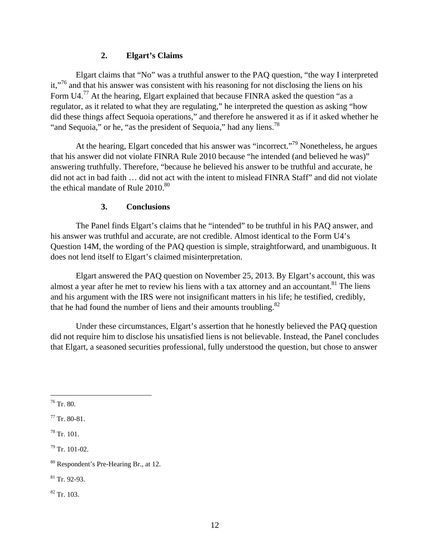## **2. Elgart's Claims**

Elgart claims that "No" was a truthful answer to the PAQ question, "the way I interpreted it,<sup>"76</sup> and that his answer was consistent with his reasoning for not disclosing the liens on his Form U4.<sup>77</sup> At the hearing, Elgart explained that because FINRA asked the question "as a regulator, as it related to what they are regulating," he interpreted the question as asking "how did these things affect Sequoia operations," and therefore he answered it as if it asked whether he "and Sequoia," or he, "as the president of Sequoia," had any liens.<sup>78</sup>

At the hearing, Elgart conceded that his answer was "incorrect."<sup>79</sup> Nonetheless, he argues that his answer did not violate FINRA Rule 2010 because "he intended (and believed he was)" answering truthfully. Therefore, "because he believed his answer to be truthful and accurate, he did not act in bad faith … did not act with the intent to mislead FINRA Staff" and did not violate the ethical mandate of Rule  $2010^{80}$ 

### **3. Conclusions**

The Panel finds Elgart's claims that he "intended" to be truthful in his PAQ answer, and his answer was truthful and accurate, are not credible. Almost identical to the Form U4's Question 14M, the wording of the PAQ question is simple, straightforward, and unambiguous. It does not lend itself to Elgart's claimed misinterpretation.

Elgart answered the PAQ question on November 25, 2013. By Elgart's account, this was almost a year after he met to review his liens with a tax attorney and an accountant.<sup>81</sup> The liens and his argument with the IRS were not insignificant matters in his life; he testified, credibly, that he had found the number of liens and their amounts troubling. $82$ 

Under these circumstances, Elgart's assertion that he honestly believed the PAQ question did not require him to disclose his unsatisfied liens is not believable. Instead, the Panel concludes that Elgart, a seasoned securities professional, fully understood the question, but chose to answer

 $76$  Tr. 80.

1

82 Tr. 103.

 $77$  Tr. 80-81.

 $78$  Tr. 101.

<sup>79</sup> Tr. 101-02.

<sup>80</sup> Respondent's Pre-Hearing Br., at 12.

<sup>81</sup> Tr. 92-93.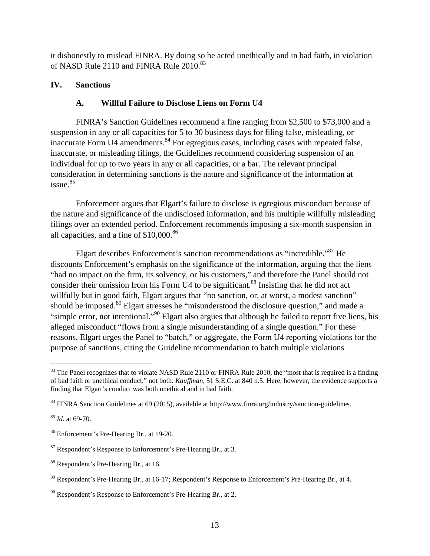it dishonestly to mislead FINRA. By doing so he acted unethically and in bad faith, in violation of NASD Rule 2110 and FINRA Rule 2010.<sup>83</sup>

# **IV. Sanctions**

# **A. Willful Failure to Disclose Liens on Form U4**

FINRA's Sanction Guidelines recommend a fine ranging from \$2,500 to \$73,000 and a suspension in any or all capacities for 5 to 30 business days for filing false, misleading, or inaccurate Form U4 amendments. $84$  For egregious cases, including cases with repeated false, inaccurate, or misleading filings, the Guidelines recommend considering suspension of an individual for up to two years in any or all capacities, or a bar. The relevant principal consideration in determining sanctions is the nature and significance of the information at  $i$ ssue. $85$ 

Enforcement argues that Elgart's failure to disclose is egregious misconduct because of the nature and significance of the undisclosed information, and his multiple willfully misleading filings over an extended period. Enforcement recommends imposing a six-month suspension in all capacities, and a fine of  $$10,000$ .<sup>86</sup>

Elgart describes Enforcement's sanction recommendations as "incredible."87 He discounts Enforcement's emphasis on the significance of the information, arguing that the liens "had no impact on the firm, its solvency, or his customers," and therefore the Panel should not consider their omission from his Form U4 to be significant.<sup>88</sup> Insisting that he did not act willfully but in good faith, Elgart argues that "no sanction, or, at worst, a modest sanction" should be imposed.<sup>89</sup> Elgart stresses he "misunderstood the disclosure question," and made a "simple error, not intentional."90 Elgart also argues that although he failed to report five liens, his alleged misconduct "flows from a single misunderstanding of a single question." For these reasons, Elgart urges the Panel to "batch," or aggregate, the Form U4 reporting violations for the purpose of sanctions, citing the Guideline recommendation to batch multiple violations

<sup>85</sup> *Id.* at 69-70.

<u>.</u>

 $83$  The Panel recognizes that to violate NASD Rule 2110 or FINRA Rule 2010, the "most that is required is a finding of bad faith or unethical conduct," not both. *Kauffman*, 51 S.E.C. at 840 n.5. Here, however, the evidence supports a finding that Elgart's conduct was both unethical and in bad faith.

<sup>84</sup> FINRA Sanction Guidelines at 69 (2015), available at http://www.finra.org/industry/sanction-guidelines.

<sup>86</sup> Enforcement's Pre-Hearing Br., at 19-20.

<sup>87</sup> Respondent's Response to Enforcement's Pre-Hearing Br., at 3.

<sup>88</sup> Respondent's Pre-Hearing Br., at 16.

<sup>89</sup> Respondent's Pre-Hearing Br., at 16-17; Respondent's Response to Enforcement's Pre-Hearing Br., at 4.

 $90$  Respondent's Response to Enforcement's Pre-Hearing Br., at 2.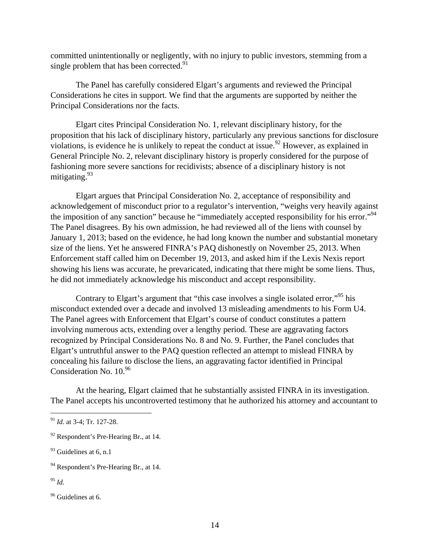committed unintentionally or negligently, with no injury to public investors, stemming from a single problem that has been corrected.<sup>91</sup>

The Panel has carefully considered Elgart's arguments and reviewed the Principal Considerations he cites in support. We find that the arguments are supported by neither the Principal Considerations nor the facts.

Elgart cites Principal Consideration No. 1, relevant disciplinary history, for the proposition that his lack of disciplinary history, particularly any previous sanctions for disclosure violations, is evidence he is unlikely to repeat the conduct at issue.<sup>92</sup> However, as explained in General Principle No. 2, relevant disciplinary history is properly considered for the purpose of fashioning more severe sanctions for recidivists; absence of a disciplinary history is not mitigating.<sup>93</sup>

Elgart argues that Principal Consideration No. 2, acceptance of responsibility and acknowledgement of misconduct prior to a regulator's intervention, "weighs very heavily against the imposition of any sanction" because he "immediately accepted responsibility for his error."<sup>94</sup> The Panel disagrees. By his own admission, he had reviewed all of the liens with counsel by January 1, 2013; based on the evidence, he had long known the number and substantial monetary size of the liens. Yet he answered FINRA's PAQ dishonestly on November 25, 2013. When Enforcement staff called him on December 19, 2013, and asked him if the Lexis Nexis report showing his liens was accurate, he prevaricated, indicating that there might be some liens. Thus, he did not immediately acknowledge his misconduct and accept responsibility.

Contrary to Elgart's argument that "this case involves a single isolated error,"<sup>95</sup> his misconduct extended over a decade and involved 13 misleading amendments to his Form U4. The Panel agrees with Enforcement that Elgart's course of conduct constitutes a pattern involving numerous acts, extending over a lengthy period. These are aggravating factors recognized by Principal Considerations No. 8 and No. 9. Further, the Panel concludes that Elgart's untruthful answer to the PAQ question reflected an attempt to mislead FINRA by concealing his failure to disclose the liens, an aggravating factor identified in Principal Consideration No. 10.96

At the hearing, Elgart claimed that he substantially assisted FINRA in its investigation. The Panel accepts his uncontroverted testimony that he authorized his attorney and accountant to

<sup>91</sup> *Id.* at 3-4; Tr. 127-28.

 $92$  Respondent's Pre-Hearing Br., at 14.

 $93$  Guidelines at 6, n.1

<sup>&</sup>lt;sup>94</sup> Respondent's Pre-Hearing Br., at 14.

<sup>95</sup> *Id.*

<sup>&</sup>lt;sup>96</sup> Guidelines at 6.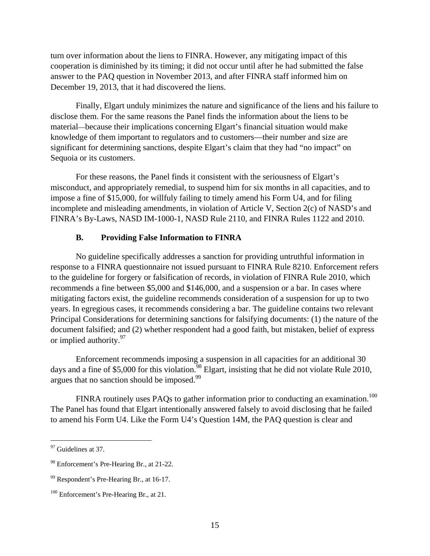turn over information about the liens to FINRA. However, any mitigating impact of this cooperation is diminished by its timing; it did not occur until after he had submitted the false answer to the PAQ question in November 2013, and after FINRA staff informed him on December 19, 2013, that it had discovered the liens.

Finally, Elgart unduly minimizes the nature and significance of the liens and his failure to disclose them. For the same reasons the Panel finds the information about the liens to be material—because their implications concerning Elgart's financial situation would make knowledge of them important to regulators and to customers—their number and size are significant for determining sanctions, despite Elgart's claim that they had "no impact" on Sequoia or its customers.

For these reasons, the Panel finds it consistent with the seriousness of Elgart's misconduct, and appropriately remedial, to suspend him for six months in all capacities, and to impose a fine of \$15,000, for willfuly failing to timely amend his Form U4, and for filing incomplete and misleading amendments, in violation of Article V, Section 2(c) of NASD's and FINRA's By-Laws, NASD IM-1000-1, NASD Rule 2110, and FINRA Rules 1122 and 2010.

#### **B. Providing False Information to FINRA**

No guideline specifically addresses a sanction for providing untruthful information in response to a FINRA questionnaire not issued pursuant to FINRA Rule 8210. Enforcement refers to the guideline for forgery or falsification of records, in violation of FINRA Rule 2010, which recommends a fine between \$5,000 and \$146,000, and a suspension or a bar. In cases where mitigating factors exist, the guideline recommends consideration of a suspension for up to two years. In egregious cases, it recommends considering a bar. The guideline contains two relevant Principal Considerations for determining sanctions for falsifying documents: (1) the nature of the document falsified; and (2) whether respondent had a good faith, but mistaken, belief of express or implied authority.<sup>97</sup>

Enforcement recommends imposing a suspension in all capacities for an additional 30 days and a fine of \$5,000 for this violation.<sup>98</sup> Elgart, insisting that he did not violate Rule 2010, argues that no sanction should be imposed.<sup>99</sup>

FINRA routinely uses PAQs to gather information prior to conducting an examination.<sup>100</sup> The Panel has found that Elgart intentionally answered falsely to avoid disclosing that he failed to amend his Form U4. Like the Form U4's Question 14M, the PAQ question is clear and

1

<sup>&</sup>lt;sup>97</sup> Guidelines at 37.

<sup>98</sup> Enforcement's Pre-Hearing Br., at 21-22.

<sup>99</sup> Respondent's Pre-Hearing Br., at 16-17.

<sup>&</sup>lt;sup>100</sup> Enforcement's Pre-Hearing Br., at 21.